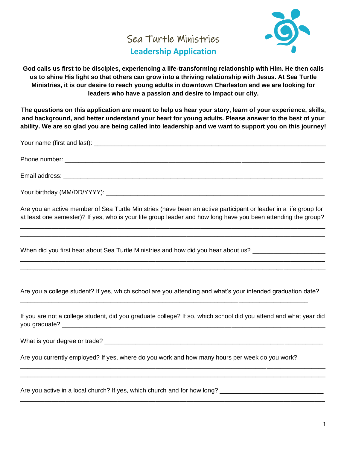## Sea Turtle Ministries **Leadership Application**



**God calls us first to be disciples, experiencing a life-transforming relationship with Him. He then calls us to shine His light so that others can grow into a thriving relationship with Jesus. At Sea Turtle Ministries, it is our desire to reach young adults in downtown Charleston and we are looking for leaders who have a passion and desire to impact our city.**

**The questions on this application are meant to help us hear your story, learn of your experience, skills, and background, and better understand your heart for young adults. Please answer to the best of your ability. We are so glad you are being called into leadership and we want to support you on this journey!**

| Your birthday (MM/DD/YYYY): |  |
|-----------------------------|--|

Are you an active member of Sea Turtle Ministries (have been an active participant or leader in a life group for at least one semester)? If yes, who is your life group leader and how long have you been attending the group?

\_\_\_\_\_\_\_\_\_\_\_\_\_\_\_\_\_\_\_\_\_\_\_\_\_\_\_\_\_\_\_\_\_\_\_\_\_\_\_\_\_\_\_\_\_\_\_\_\_\_\_\_\_\_\_\_\_\_\_\_\_\_\_\_\_\_\_\_\_\_\_\_\_\_\_\_\_\_\_\_\_\_\_\_\_\_\_\_ \_\_\_\_\_\_\_\_\_\_\_\_\_\_\_\_\_\_\_\_\_\_\_\_\_\_\_\_\_\_\_\_\_\_\_\_\_\_\_\_\_\_\_\_\_\_\_\_\_\_\_\_\_\_\_\_\_\_\_\_\_\_\_\_\_\_\_\_\_\_\_\_\_\_\_\_\_\_\_\_\_\_\_\_\_\_\_\_

\_\_\_\_\_\_\_\_\_\_\_\_\_\_\_\_\_\_\_\_\_\_\_\_\_\_\_\_\_\_\_\_\_\_\_\_\_\_\_\_\_\_\_\_\_\_\_\_\_\_\_\_\_\_\_\_\_\_\_\_\_\_\_\_\_\_\_\_\_\_\_\_\_\_\_\_\_\_\_\_\_\_\_\_\_\_\_\_ \_\_\_\_\_\_\_\_\_\_\_\_\_\_\_\_\_\_\_\_\_\_\_\_\_\_\_\_\_\_\_\_\_\_\_\_\_\_\_\_\_\_\_\_\_\_\_\_\_\_\_\_\_\_\_\_\_\_\_\_\_\_\_\_\_\_\_\_\_\_\_\_\_\_\_\_\_\_\_\_\_\_\_\_\_\_\_\_

When did you first hear about Sea Turtle Ministries and how did you hear about us?

Are you a college student? If yes, which school are you attending and what's your intended graduation date?

\_\_\_\_\_\_\_\_\_\_\_\_\_\_\_\_\_\_\_\_\_\_\_\_\_\_\_\_\_\_\_\_\_\_\_\_\_\_\_\_\_\_\_\_\_\_\_\_\_\_\_\_\_\_\_\_\_\_\_\_\_\_\_\_\_\_\_\_\_\_\_\_\_\_\_\_\_\_\_\_\_\_\_

If you are not a college student, did you graduate college? If so, which school did you attend and what year did you graduate? \_\_\_\_\_\_\_\_\_\_\_\_\_\_\_\_\_\_\_\_\_\_\_\_\_\_\_\_\_\_\_\_\_\_\_\_\_\_\_\_\_\_\_\_\_\_\_\_\_\_\_\_\_\_\_\_\_\_\_\_\_\_\_\_\_\_\_\_\_\_\_\_\_\_\_\_

\_\_\_\_\_\_\_\_\_\_\_\_\_\_\_\_\_\_\_\_\_\_\_\_\_\_\_\_\_\_\_\_\_\_\_\_\_\_\_\_\_\_\_\_\_\_\_\_\_\_\_\_\_\_\_\_\_\_\_\_\_\_\_\_\_\_\_\_\_\_\_\_\_\_\_\_\_\_\_\_\_\_\_\_\_\_\_\_ \_\_\_\_\_\_\_\_\_\_\_\_\_\_\_\_\_\_\_\_\_\_\_\_\_\_\_\_\_\_\_\_\_\_\_\_\_\_\_\_\_\_\_\_\_\_\_\_\_\_\_\_\_\_\_\_\_\_\_\_\_\_\_\_\_\_\_\_\_\_\_\_\_\_\_\_\_\_\_\_\_\_\_\_\_\_\_\_

\_\_\_\_\_\_\_\_\_\_\_\_\_\_\_\_\_\_\_\_\_\_\_\_\_\_\_\_\_\_\_\_\_\_\_\_\_\_\_\_\_\_\_\_\_\_\_\_\_\_\_\_\_\_\_\_\_\_\_\_\_\_\_\_\_\_\_\_\_\_\_\_\_\_\_\_\_\_\_\_\_\_\_\_\_\_\_\_

What is your degree or trade? \_\_\_\_\_\_\_\_\_\_\_\_\_\_\_\_\_\_\_\_\_\_\_\_\_\_\_\_\_\_\_\_\_\_\_\_\_\_\_\_\_\_\_\_\_\_\_\_\_\_\_\_\_\_\_\_\_\_\_\_\_\_\_

Are you currently employed? If yes, where do you work and how many hours per week do you work?

Are you active in a local church? If yes, which church and for how long?